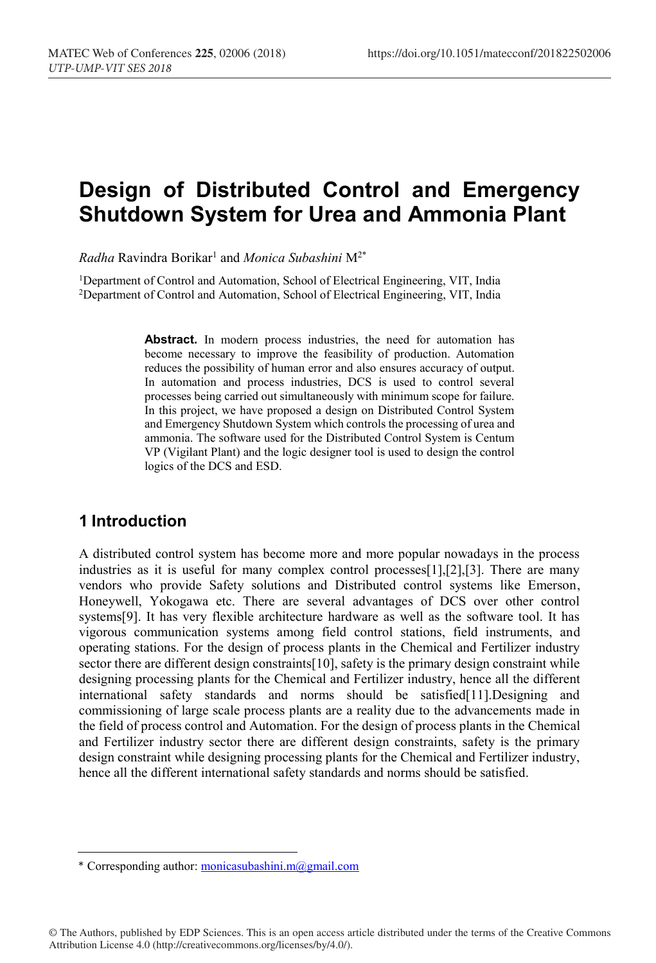# **Design of Distributed Control and Emergency Shutdown System for Urea and Ammonia Plant**

*Radha* Ravindra Borikar1 and *Monica Subashini* M2\*

<sup>1</sup>Department of Control and Automation, School of Electrical Engineering, VIT, India 2Department of Control and Automation, School of Electrical Engineering, VIT, India

> Abstract. In modern process industries, the need for automation has become necessary to improve the feasibility of production. Automation reduces the possibility of human error and also ensures accuracy of output. In automation and process industries, DCS is used to control several processes being carried out simultaneously with minimum scope for failure. In this project, we have proposed a design on Distributed Control System and Emergency Shutdown System which controls the processing of urea and ammonia. The software used for the Distributed Control System is Centum VP (Vigilant Plant) and the logic designer tool is used to design the control logics of the DCS and ESD.

## **1 Introduction**

A distributed control system has become more and more popular nowadays in the process industries as it is useful for many complex control processes[1],[2],[3]. There are many vendors who provide Safety solutions and Distributed control systems like Emerson, Honeywell, Yokogawa etc. There are several advantages of DCS over other control systems[9]. It has very flexible architecture hardware as well as the software tool. It has vigorous communication systems among field control stations, field instruments, and operating stations. For the design of process plants in the Chemical and Fertilizer industry sector there are different design constraints [10], safety is the primary design constraint while designing processing plants for the Chemical and Fertilizer industry, hence all the different international safety standards and norms should be satisfied[11].Designing and commissioning of large scale process plants are a reality due to the advancements made in the field of process control and Automation. For the design of process plants in the Chemical and Fertilizer industry sector there are different design constraints, safety is the primary design constraint while designing processing plants for the Chemical and Fertilizer industry, hence all the different international safety standards and norms should be satisfied.

© The Authors, published by EDP Sciences. This is an open access article distributed under the terms of the Creative Commons Attribution License 4.0 (http://creativecommons.org/licenses/by/4.0/).

ȗ Corresponding author: monicasubashini.m@gmail.com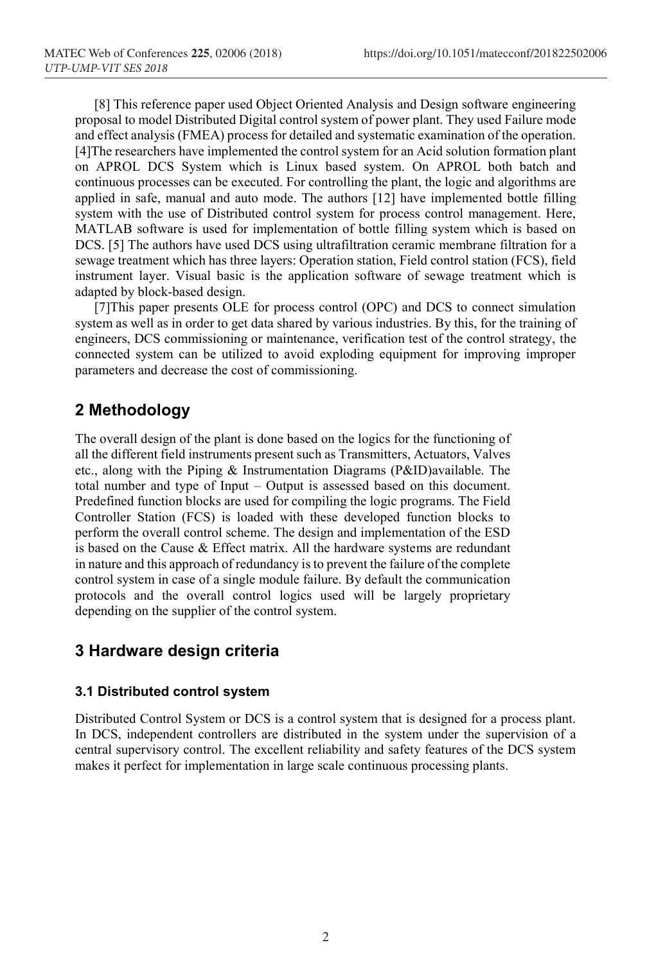[8] This reference paper used Object Oriented Analysis and Design software engineering proposal to model Distributed Digital control system of power plant. They used Failure mode and effect analysis (FMEA) process for detailed and systematic examination of the operation. [4]The researchers have implemented the control system for an Acid solution formation plant on APROL DCS System which is Linux based system. On APROL both batch and continuous processes can be executed. For controlling the plant, the logic and algorithms are applied in safe, manual and auto mode. The authors [12] have implemented bottle filling system with the use of Distributed control system for process control management. Here, MATLAB software is used for implementation of bottle filling system which is based on DCS. [5] The authors have used DCS using ultrafiltration ceramic membrane filtration for a sewage treatment which has three layers: Operation station, Field control station (FCS), field instrument layer. Visual basic is the application software of sewage treatment which is adapted by block-based design.

[7]This paper presents OLE for process control (OPC) and DCS to connect simulation system as well as in order to get data shared by various industries. By this, for the training of engineers, DCS commissioning or maintenance, verification test of the control strategy, the connected system can be utilized to avoid exploding equipment for improving improper parameters and decrease the cost of commissioning.

#### **2 Methodology**

The overall design of the plant is done based on the logics for the functioning of all the different field instruments present such as Transmitters, Actuators, Valves etc., along with the Piping & Instrumentation Diagrams (P&ID)available. The total number and type of Input – Output is assessed based on this document. Predefined function blocks are used for compiling the logic programs. The Field Controller Station (FCS) is loaded with these developed function blocks to perform the overall control scheme. The design and implementation of the ESD is based on the Cause & Effect matrix. All the hardware systems are redundant in nature and this approach of redundancy is to prevent the failure of the complete control system in case of a single module failure. By default the communication protocols and the overall control logics used will be largely proprietary depending on the supplier of the control system.

#### **3 Hardware design criteria**

#### **3.1 Distributed control system**

Distributed Control System or DCS is a control system that is designed for a process plant. In DCS, independent controllers are distributed in the system under the supervision of a central supervisory control. The excellent reliability and safety features of the DCS system makes it perfect for implementation in large scale continuous processing plants.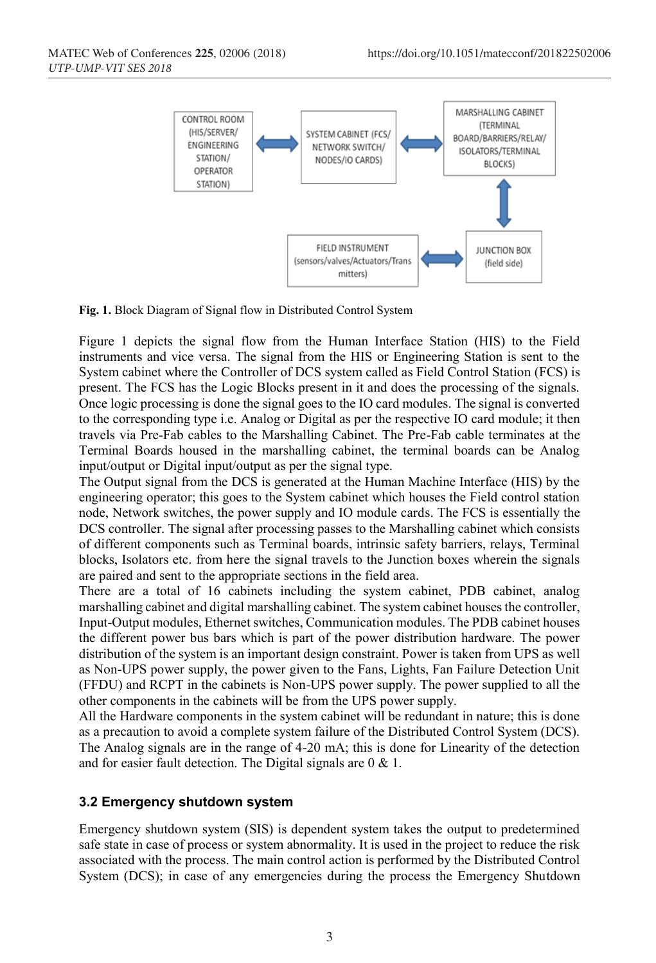

**Fig. 1.** Block Diagram of Signal flow in Distributed Control System

Figure 1 depicts the signal flow from the Human Interface Station (HIS) to the Field instruments and vice versa. The signal from the HIS or Engineering Station is sent to the System cabinet where the Controller of DCS system called as Field Control Station (FCS) is present. The FCS has the Logic Blocks present in it and does the processing of the signals. Once logic processing is done the signal goes to the IO card modules. The signal is converted to the corresponding type i.e. Analog or Digital as per the respective IO card module; it then travels via Pre-Fab cables to the Marshalling Cabinet. The Pre-Fab cable terminates at the Terminal Boards housed in the marshalling cabinet, the terminal boards can be Analog input/output or Digital input/output as per the signal type.

The Output signal from the DCS is generated at the Human Machine Interface (HIS) by the engineering operator; this goes to the System cabinet which houses the Field control station node, Network switches, the power supply and IO module cards. The FCS is essentially the DCS controller. The signal after processing passes to the Marshalling cabinet which consists of different components such as Terminal boards, intrinsic safety barriers, relays, Terminal blocks, Isolators etc. from here the signal travels to the Junction boxes wherein the signals are paired and sent to the appropriate sections in the field area.

There are a total of 16 cabinets including the system cabinet, PDB cabinet, analog marshalling cabinet and digital marshalling cabinet. The system cabinet houses the controller, Input-Output modules, Ethernet switches, Communication modules. The PDB cabinet houses the different power bus bars which is part of the power distribution hardware. The power distribution of the system is an important design constraint. Power is taken from UPS as well as Non-UPS power supply, the power given to the Fans, Lights, Fan Failure Detection Unit (FFDU) and RCPT in the cabinets is Non-UPS power supply. The power supplied to all the other components in the cabinets will be from the UPS power supply.

All the Hardware components in the system cabinet will be redundant in nature; this is done as a precaution to avoid a complete system failure of the Distributed Control System (DCS). The Analog signals are in the range of 4-20 mA; this is done for Linearity of the detection and for easier fault detection. The Digital signals are 0 & 1.

#### **3.2 Emergency shutdown system**

Emergency shutdown system (SIS) is dependent system takes the output to predetermined safe state in case of process or system abnormality. It is used in the project to reduce the risk associated with the process. The main control action is performed by the Distributed Control System (DCS); in case of any emergencies during the process the Emergency Shutdown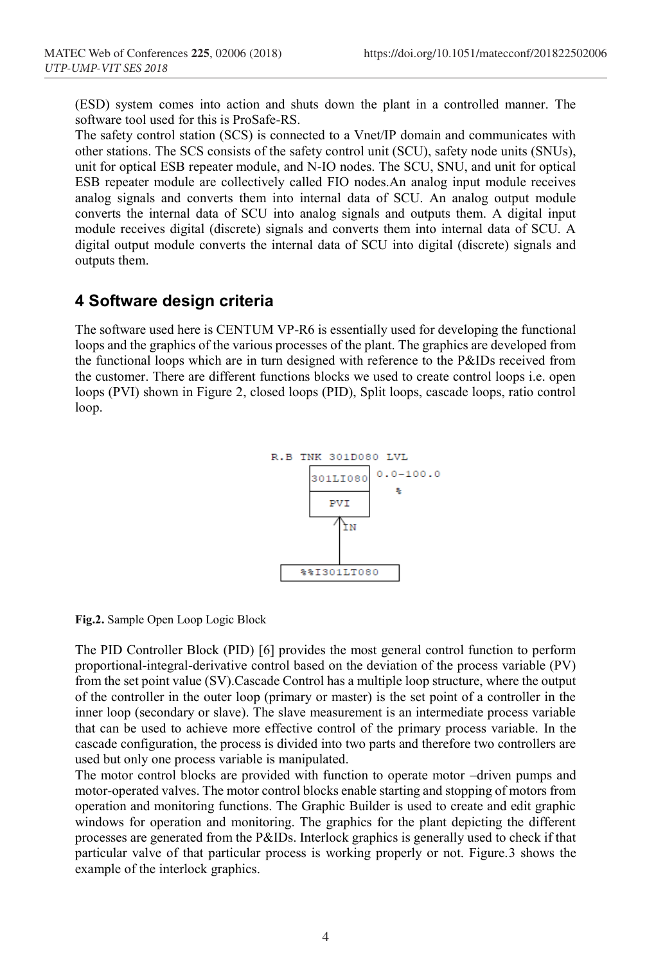(ESD) system comes into action and shuts down the plant in a controlled manner. The software tool used for this is ProSafe-RS.

The safety control station (SCS) is connected to a Vnet/IP domain and communicates with other stations. The SCS consists of the safety control unit (SCU), safety node units (SNUs), unit for optical ESB repeater module, and N-IO nodes. The SCU, SNU, and unit for optical ESB repeater module are collectively called FIO nodes.An analog input module receives analog signals and converts them into internal data of SCU. An analog output module converts the internal data of SCU into analog signals and outputs them. A digital input module receives digital (discrete) signals and converts them into internal data of SCU. A digital output module converts the internal data of SCU into digital (discrete) signals and outputs them.

## **4 Software design criteria**

The software used here is CENTUM VP-R6 is essentially used for developing the functional loops and the graphics of the various processes of the plant. The graphics are developed from the functional loops which are in turn designed with reference to the P&IDs received from the customer. There are different functions blocks we used to create control loops i.e. open loops (PVI) shown in Figure 2, closed loops (PID), Split loops, cascade loops, ratio control loop.



**Fig.2.** Sample Open Loop Logic Block

The PID Controller Block (PID) [6] provides the most general control function to perform proportional-integral-derivative control based on the deviation of the process variable (PV) from the set point value (SV).Cascade Control has a multiple loop structure, where the output of the controller in the outer loop (primary or master) is the set point of a controller in the inner loop (secondary or slave). The slave measurement is an intermediate process variable that can be used to achieve more effective control of the primary process variable. In the cascade configuration, the process is divided into two parts and therefore two controllers are used but only one process variable is manipulated.

The motor control blocks are provided with function to operate motor –driven pumps and motor-operated valves. The motor control blocks enable starting and stopping of motors from operation and monitoring functions. The Graphic Builder is used to create and edit graphic windows for operation and monitoring. The graphics for the plant depicting the different processes are generated from the P&IDs. Interlock graphics is generally used to check if that particular valve of that particular process is working properly or not. Figure.3 shows the example of the interlock graphics.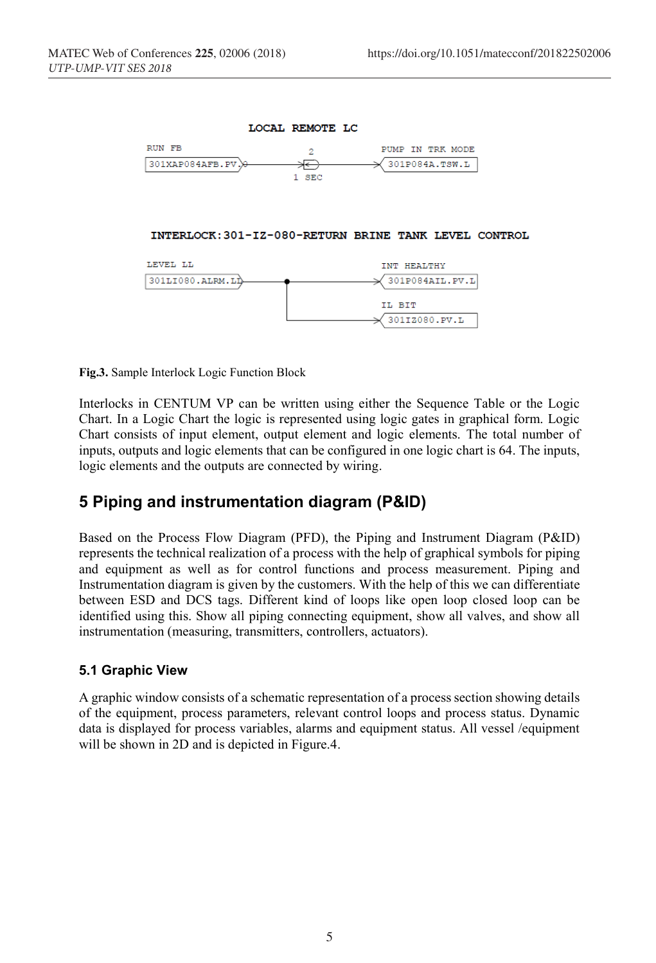

INTERLOCK: 301-IZ-080-RETURN BRINE TANK LEVEL CONTROL



**Fig.3.** Sample Interlock Logic Function Block

Interlocks in CENTUM VP can be written using either the Sequence Table or the Logic Chart. In a Logic Chart the logic is represented using logic gates in graphical form. Logic Chart consists of input element, output element and logic elements. The total number of inputs, outputs and logic elements that can be configured in one logic chart is 64. The inputs, logic elements and the outputs are connected by wiring.

## **5 Piping and instrumentation diagram (P&ID)**

Based on the Process Flow Diagram (PFD), the Piping and Instrument Diagram (P&ID) represents the technical realization of a process with the help of graphical symbols for piping and equipment as well as for control functions and process measurement. Piping and Instrumentation diagram is given by the customers. With the help of this we can differentiate between ESD and DCS tags. Different kind of loops like open loop closed loop can be identified using this. Show all piping connecting equipment, show all valves, and show all instrumentation (measuring, transmitters, controllers, actuators).

#### **5.1 Graphic View**

A graphic window consists of a schematic representation of a process section showing details of the equipment, process parameters, relevant control loops and process status. Dynamic data is displayed for process variables, alarms and equipment status. All vessel /equipment will be shown in 2D and is depicted in Figure.4.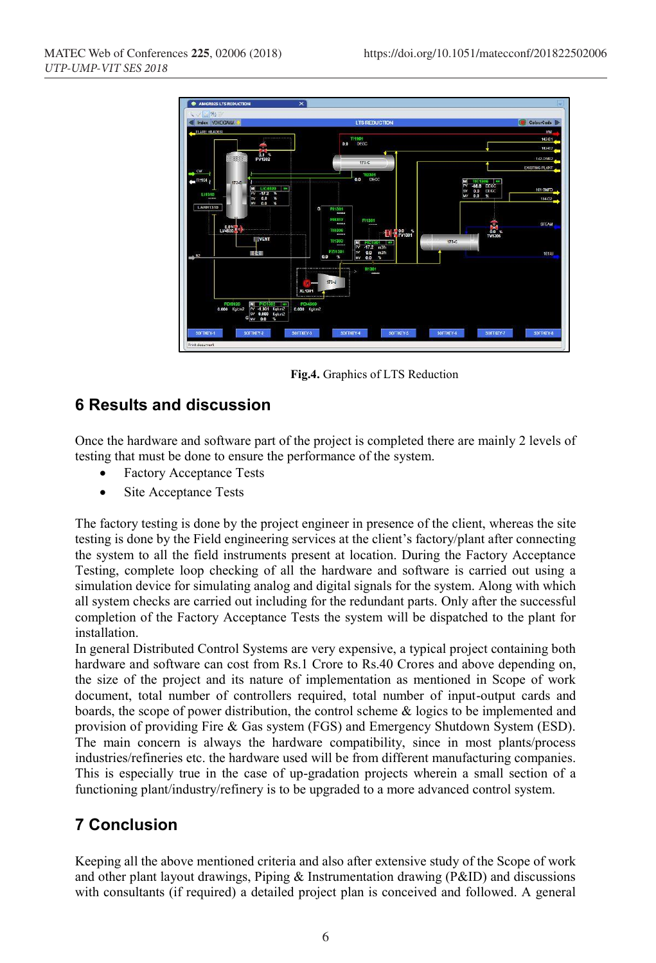

**Fig.4.** Graphics of LTS Reduction

## **6 Results and discussion**

Once the hardware and software part of the project is completed there are mainly 2 levels of testing that must be done to ensure the performance of the system.

- Factory Acceptance Tests
- Site Acceptance Tests

The factory testing is done by the project engineer in presence of the client, whereas the site testing is done by the Field engineering services at the client's factory/plant after connecting the system to all the field instruments present at location. During the Factory Acceptance Testing, complete loop checking of all the hardware and software is carried out using a simulation device for simulating analog and digital signals for the system. Along with which all system checks are carried out including for the redundant parts. Only after the successful completion of the Factory Acceptance Tests the system will be dispatched to the plant for installation.

In general Distributed Control Systems are very expensive, a typical project containing both hardware and software can cost from Rs.1 Crore to Rs.40 Crores and above depending on, the size of the project and its nature of implementation as mentioned in Scope of work document, total number of controllers required, total number of input-output cards and boards, the scope of power distribution, the control scheme & logics to be implemented and provision of providing Fire & Gas system (FGS) and Emergency Shutdown System (ESD). The main concern is always the hardware compatibility, since in most plants/process industries/refineries etc. the hardware used will be from different manufacturing companies. This is especially true in the case of up-gradation projects wherein a small section of a functioning plant/industry/refinery is to be upgraded to a more advanced control system.

# **7 Conclusion**

Keeping all the above mentioned criteria and also after extensive study of the Scope of work and other plant layout drawings, Piping & Instrumentation drawing (P&ID) and discussions with consultants (if required) a detailed project plan is conceived and followed. A general